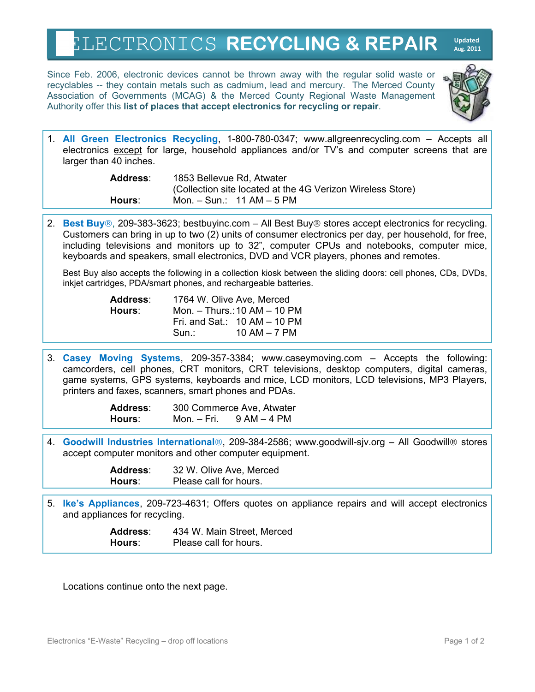## ELECTRONICS **RECYCLING & REPAIR Updated Aug. 2011**

Since Feb. 2006, electronic devices cannot be thrown away with the regular solid waste or recyclables -- they contain metals such as cadmium, lead and mercury. The Merced County Association of Governments (MCAG) & the Merced County Regional Waste Management Authority offer this **list of places that accept electronics for recycling or repair**.



1. **All Green Electronics Recycling**, 1-800-780-0347; www.allgreenrecycling.com – Accepts all electronics except for large, household appliances and/or TV's and computer screens that are larger than 40 inches.

| Address: | 1853 Bellevue Rd, Atwater                                  |
|----------|------------------------------------------------------------|
|          | (Collection site located at the 4G Verizon Wireless Store) |
| Hours:   | Mon. $-$ Sun.: 11 AM $-$ 5 PM                              |

2. **Best Buy**®, 209-383-3623; bestbuyinc.com – All Best Buy® stores accept electronics for recycling. Customers can bring in up to two (2) units of consumer electronics per day, per household, for free, including televisions and monitors up to 32", computer CPUs and notebooks, computer mice, keyboards and speakers, small electronics, DVD and VCR players, phones and remotes.

Best Buy also accepts the following in a collection kiosk between the sliding doors: cell phones, CDs, DVDs, inkjet cartridges, PDA/smart phones, and rechargeable batteries.

| Address: |                              | 1764 W. Olive Ave, Merced      |
|----------|------------------------------|--------------------------------|
| Hours:   | Mon. – Thurs.: 10 AM – 10 PM |                                |
|          |                              | Fri. and Sat.: $10 AM - 10 PM$ |
|          | Sun.:                        | 10 AM $-$ 7 PM                 |

3. **Casey Moving Systems**, 209-357-3384; www.caseymoving.com – Accepts the following: camcorders, cell phones, CRT monitors, CRT televisions, desktop computers, digital cameras, game systems, GPS systems, keyboards and mice, LCD monitors, LCD televisions, MP3 Players, printers and faxes, scanners, smart phones and PDAs.

> **Address**: 300 Commerce Ave, Atwater **Hours**: Mon. – Fri. 9 AM – 4 PM

4. **Goodwill Industries International**®, 209-384-2586; www.goodwill-sjv.org - All Goodwill® stores accept computer monitors and other computer equipment.

| Address: | 32 W. Olive Ave, Merced |
|----------|-------------------------|
| Hours:   | Please call for hours.  |

5. **Ike's Appliances**, 209-723-4631; Offers quotes on appliance repairs and will accept electronics and appliances for recycling.

> **Address**: 434 W. Main Street, Merced **Hours**: Please call for hours.

Locations continue onto the next page.